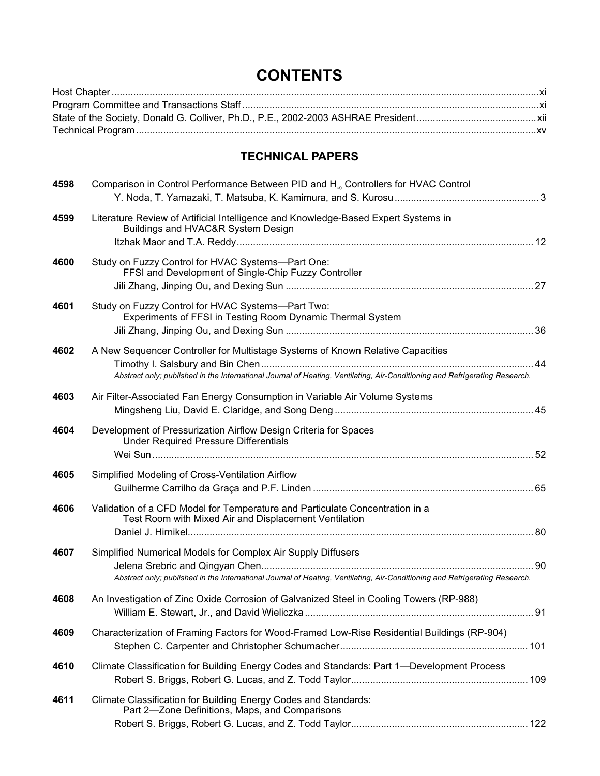## **CONTENTS**

## **TECHNICAL PAPERS**

| 4598 | Comparison in Control Performance Between PID and H <sub>∞</sub> Controllers for HVAC Control                                                                                                                 |  |
|------|---------------------------------------------------------------------------------------------------------------------------------------------------------------------------------------------------------------|--|
| 4599 | Literature Review of Artificial Intelligence and Knowledge-Based Expert Systems in<br>Buildings and HVAC&R System Design                                                                                      |  |
| 4600 | Study on Fuzzy Control for HVAC Systems-Part One:<br>FFSI and Development of Single-Chip Fuzzy Controller                                                                                                     |  |
| 4601 | Study on Fuzzy Control for HVAC Systems-Part Two:<br>Experiments of FFSI in Testing Room Dynamic Thermal System                                                                                               |  |
| 4602 | A New Sequencer Controller for Multistage Systems of Known Relative Capacities<br>Abstract only; published in the International Journal of Heating, Ventilating, Air-Conditioning and Refrigerating Research. |  |
| 4603 | Air Filter-Associated Fan Energy Consumption in Variable Air Volume Systems                                                                                                                                   |  |
| 4604 | Development of Pressurization Airflow Design Criteria for Spaces<br><b>Under Required Pressure Differentials</b>                                                                                              |  |
| 4605 | Simplified Modeling of Cross-Ventilation Airflow                                                                                                                                                              |  |
| 4606 | Validation of a CFD Model for Temperature and Particulate Concentration in a<br>Test Room with Mixed Air and Displacement Ventilation                                                                         |  |
| 4607 | Simplified Numerical Models for Complex Air Supply Diffusers<br>Abstract only; published in the International Journal of Heating, Ventilating, Air-Conditioning and Refrigerating Research.                   |  |
| 4608 | An Investigation of Zinc Oxide Corrosion of Galvanized Steel in Cooling Towers (RP-988)                                                                                                                       |  |
| 4609 | Characterization of Framing Factors for Wood-Framed Low-Rise Residential Buildings (RP-904)                                                                                                                   |  |
| 4610 | Climate Classification for Building Energy Codes and Standards: Part 1—Development Process                                                                                                                    |  |
| 4611 | Climate Classification for Building Energy Codes and Standards:<br>Part 2-Zone Definitions, Maps, and Comparisons                                                                                             |  |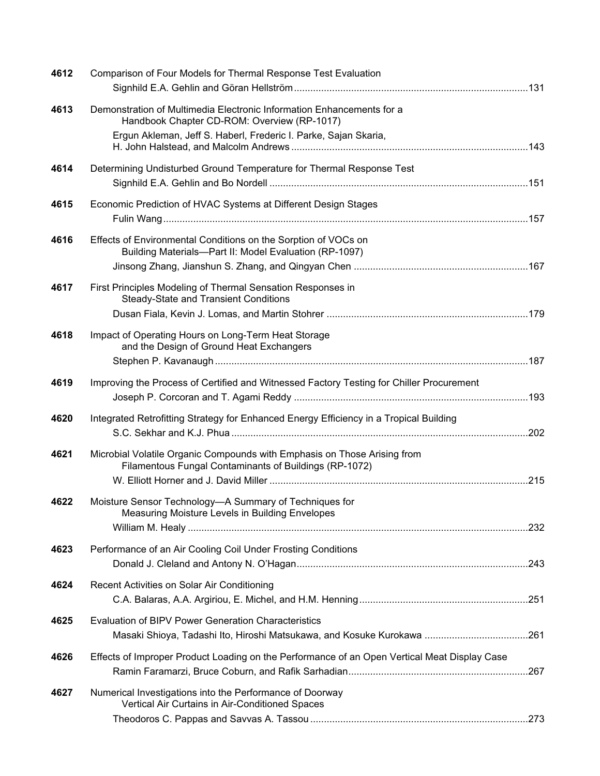| 4612 | Comparison of Four Models for Thermal Response Test Evaluation                                                                     |  |
|------|------------------------------------------------------------------------------------------------------------------------------------|--|
| 4613 | Demonstration of Multimedia Electronic Information Enhancements for a<br>Handbook Chapter CD-ROM: Overview (RP-1017)               |  |
|      | Ergun Akleman, Jeff S. Haberl, Frederic I. Parke, Sajan Skaria,                                                                    |  |
| 4614 | Determining Undisturbed Ground Temperature for Thermal Response Test                                                               |  |
| 4615 | Economic Prediction of HVAC Systems at Different Design Stages                                                                     |  |
| 4616 | Effects of Environmental Conditions on the Sorption of VOCs on<br>Building Materials-Part II: Model Evaluation (RP-1097)           |  |
| 4617 | First Principles Modeling of Thermal Sensation Responses in<br><b>Steady-State and Transient Conditions</b>                        |  |
|      |                                                                                                                                    |  |
| 4618 | Impact of Operating Hours on Long-Term Heat Storage<br>and the Design of Ground Heat Exchangers                                    |  |
| 4619 | Improving the Process of Certified and Witnessed Factory Testing for Chiller Procurement                                           |  |
| 4620 | Integrated Retrofitting Strategy for Enhanced Energy Efficiency in a Tropical Building                                             |  |
| 4621 | Microbial Volatile Organic Compounds with Emphasis on Those Arising from<br>Filamentous Fungal Contaminants of Buildings (RP-1072) |  |
| 4622 | Moisture Sensor Technology-A Summary of Techniques for<br>Measuring Moisture Levels in Building Envelopes                          |  |
| 4623 | Performance of an Air Cooling Coil Under Frosting Conditions                                                                       |  |
| 4624 | Recent Activities on Solar Air Conditioning                                                                                        |  |
| 4625 | <b>Evaluation of BIPV Power Generation Characteristics</b>                                                                         |  |
| 4626 | Effects of Improper Product Loading on the Performance of an Open Vertical Meat Display Case                                       |  |
| 4627 | Numerical Investigations into the Performance of Doorway<br>Vertical Air Curtains in Air-Conditioned Spaces                        |  |
|      |                                                                                                                                    |  |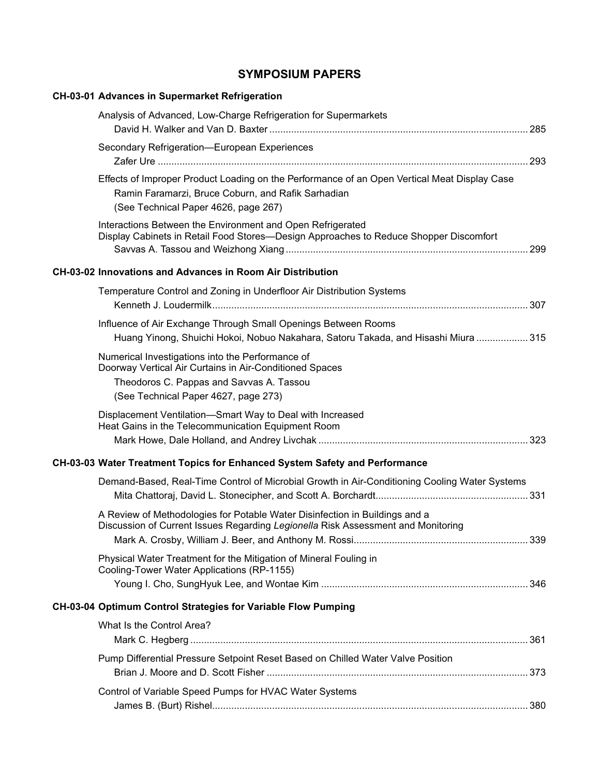## **SYMPOSIUM PAPERS**

| <b>CH-03-01 Advances in Supermarket Refrigeration</b>                                                                                                                                           |  |
|-------------------------------------------------------------------------------------------------------------------------------------------------------------------------------------------------|--|
| Analysis of Advanced, Low-Charge Refrigeration for Supermarkets                                                                                                                                 |  |
| Secondary Refrigeration-European Experiences                                                                                                                                                    |  |
| Effects of Improper Product Loading on the Performance of an Open Vertical Meat Display Case<br>Ramin Faramarzi, Bruce Coburn, and Rafik Sarhadian<br>(See Technical Paper 4626, page 267)      |  |
| Interactions Between the Environment and Open Refrigerated<br>Display Cabinets in Retail Food Stores-Design Approaches to Reduce Shopper Discomfort                                             |  |
| <b>CH-03-02 Innovations and Advances in Room Air Distribution</b>                                                                                                                               |  |
| Temperature Control and Zoning in Underfloor Air Distribution Systems                                                                                                                           |  |
| Influence of Air Exchange Through Small Openings Between Rooms<br>Huang Yinong, Shuichi Hokoi, Nobuo Nakahara, Satoru Takada, and Hisashi Miura  315                                            |  |
| Numerical Investigations into the Performance of<br>Doorway Vertical Air Curtains in Air-Conditioned Spaces<br>Theodoros C. Pappas and Savvas A. Tassou<br>(See Technical Paper 4627, page 273) |  |
| Displacement Ventilation-Smart Way to Deal with Increased<br>Heat Gains in the Telecommunication Equipment Room                                                                                 |  |
| CH-03-03 Water Treatment Topics for Enhanced System Safety and Performance                                                                                                                      |  |
| Demand-Based, Real-Time Control of Microbial Growth in Air-Conditioning Cooling Water Systems                                                                                                   |  |
| A Review of Methodologies for Potable Water Disinfection in Buildings and a<br>Discussion of Current Issues Regarding Legionella Risk Assessment and Monitoring                                 |  |
| Physical Water Treatment for the Mitigation of Mineral Fouling in<br>Cooling-Tower Water Applications (RP-1155)                                                                                 |  |
|                                                                                                                                                                                                 |  |
| CH-03-04 Optimum Control Strategies for Variable Flow Pumping                                                                                                                                   |  |
| What Is the Control Area?                                                                                                                                                                       |  |
| Pump Differential Pressure Setpoint Reset Based on Chilled Water Valve Position                                                                                                                 |  |
| Control of Variable Speed Pumps for HVAC Water Systems                                                                                                                                          |  |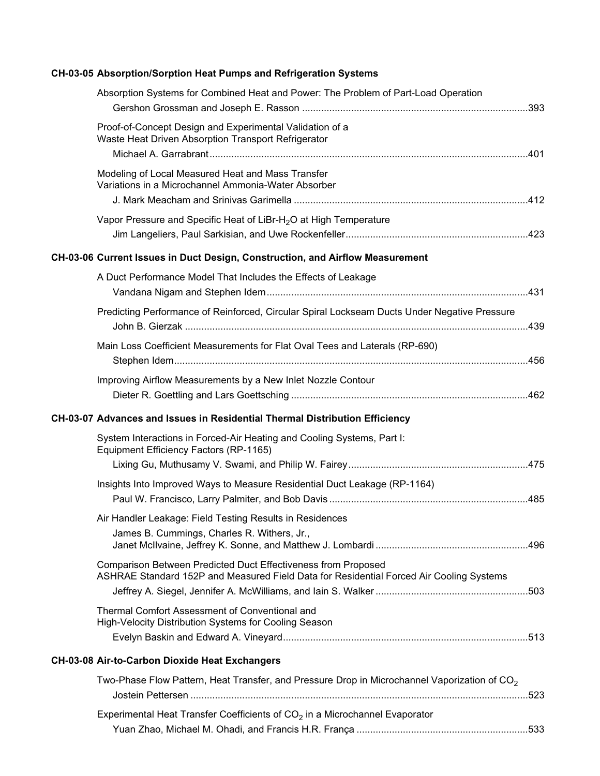## **CH-03-05 Absorption/Sorption Heat Pumps and Refrigeration Systems**

| Absorption Systems for Combined Heat and Power: The Problem of Part-Load Operation                                                                       |  |
|----------------------------------------------------------------------------------------------------------------------------------------------------------|--|
| Proof-of-Concept Design and Experimental Validation of a<br>Waste Heat Driven Absorption Transport Refrigerator                                          |  |
| Modeling of Local Measured Heat and Mass Transfer<br>Variations in a Microchannel Ammonia-Water Absorber                                                 |  |
| Vapor Pressure and Specific Heat of LiBr-H <sub>2</sub> O at High Temperature                                                                            |  |
| CH-03-06 Current Issues in Duct Design, Construction, and Airflow Measurement                                                                            |  |
| A Duct Performance Model That Includes the Effects of Leakage                                                                                            |  |
| Predicting Performance of Reinforced, Circular Spiral Lockseam Ducts Under Negative Pressure                                                             |  |
| Main Loss Coefficient Measurements for Flat Oval Tees and Laterals (RP-690)                                                                              |  |
| Improving Airflow Measurements by a New Inlet Nozzle Contour                                                                                             |  |
| CH-03-07 Advances and Issues in Residential Thermal Distribution Efficiency                                                                              |  |
| System Interactions in Forced-Air Heating and Cooling Systems, Part I:<br>Equipment Efficiency Factors (RP-1165)                                         |  |
|                                                                                                                                                          |  |
| Insights Into Improved Ways to Measure Residential Duct Leakage (RP-1164)                                                                                |  |
| Air Handler Leakage: Field Testing Results in Residences<br>James B. Cummings, Charles R. Withers, Jr.,                                                  |  |
|                                                                                                                                                          |  |
| Comparison Between Predicted Duct Effectiveness from Proposed<br>ASHRAE Standard 152P and Measured Field Data for Residential Forced Air Cooling Systems |  |
| Thermal Comfort Assessment of Conventional and<br>High-Velocity Distribution Systems for Cooling Season                                                  |  |
|                                                                                                                                                          |  |
| CH-03-08 Air-to-Carbon Dioxide Heat Exchangers                                                                                                           |  |
| Two-Phase Flow Pattern, Heat Transfer, and Pressure Drop in Microchannel Vaporization of $CO2$                                                           |  |
| Experimental Heat Transfer Coefficients of $CO2$ in a Microchannel Evaporator                                                                            |  |
|                                                                                                                                                          |  |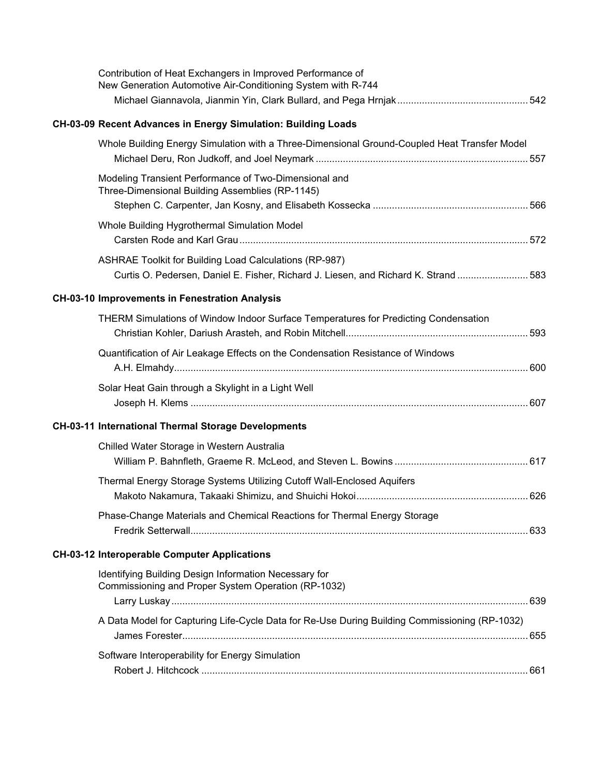| Contribution of Heat Exchangers in Improved Performance of<br>New Generation Automotive Air-Conditioning System with R-744                    |  |
|-----------------------------------------------------------------------------------------------------------------------------------------------|--|
|                                                                                                                                               |  |
| CH-03-09 Recent Advances in Energy Simulation: Building Loads                                                                                 |  |
| Whole Building Energy Simulation with a Three-Dimensional Ground-Coupled Heat Transfer Model                                                  |  |
| Modeling Transient Performance of Two-Dimensional and<br>Three-Dimensional Building Assemblies (RP-1145)                                      |  |
|                                                                                                                                               |  |
| Whole Building Hygrothermal Simulation Model                                                                                                  |  |
| ASHRAE Toolkit for Building Load Calculations (RP-987)<br>Curtis O. Pedersen, Daniel E. Fisher, Richard J. Liesen, and Richard K. Strand  583 |  |
| <b>CH-03-10 Improvements in Fenestration Analysis</b>                                                                                         |  |
| THERM Simulations of Window Indoor Surface Temperatures for Predicting Condensation                                                           |  |
| Quantification of Air Leakage Effects on the Condensation Resistance of Windows                                                               |  |
| Solar Heat Gain through a Skylight in a Light Well                                                                                            |  |
| CH-03-11 International Thermal Storage Developments                                                                                           |  |
| Chilled Water Storage in Western Australia                                                                                                    |  |
| Thermal Energy Storage Systems Utilizing Cutoff Wall-Enclosed Aquifers                                                                        |  |
| Phase-Change Materials and Chemical Reactions for Thermal Energy Storage                                                                      |  |
| <b>CH-03-12 Interoperable Computer Applications</b>                                                                                           |  |
| Identifying Building Design Information Necessary for<br>Commissioning and Proper System Operation (RP-1032)                                  |  |
|                                                                                                                                               |  |
| A Data Model for Capturing Life-Cycle Data for Re-Use During Building Commissioning (RP-1032)                                                 |  |
| Software Interoperability for Energy Simulation                                                                                               |  |